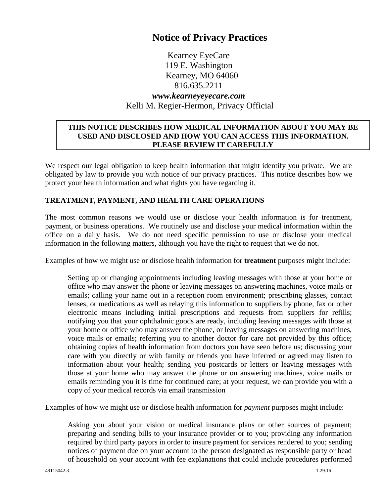# **Notice of Privacy Practices**

Kearney EyeCare 119 E. Washington Kearney, MO 64060 816.635.2211 *www.kearneyeyecare.com* Kelli M. Regier-Hermon, Privacy Official

### **THIS NOTICE DESCRIBES HOW MEDICAL INFORMATION ABOUT YOU MAY BE USED AND DISCLOSED AND HOW YOU CAN ACCESS THIS INFORMATION. PLEASE REVIEW IT CAREFULLY**

We respect our legal obligation to keep health information that might identify you private. We are obligated by law to provide you with notice of our privacy practices. This notice describes how we protect your health information and what rights you have regarding it.

# **TREATMENT, PAYMENT, AND HEALTH CARE OPERATIONS**

The most common reasons we would use or disclose your health information is for treatment, payment, or business operations. We routinely use and disclose your medical information within the office on a daily basis. We do not need specific permission to use or disclose your medical information in the following matters, although you have the right to request that we do not.

Examples of how we might use or disclose health information for **treatment** purposes might include:

Setting up or changing appointments including leaving messages with those at your home or office who may answer the phone or leaving messages on answering machines, voice mails or emails; calling your name out in a reception room environment; prescribing glasses, contact lenses, or medications as well as relaying this information to suppliers by phone, fax or other electronic means including initial prescriptions and requests from suppliers for refills; notifying you that your ophthalmic goods are ready, including leaving messages with those at your home or office who may answer the phone, or leaving messages on answering machines, voice mails or emails; referring you to another doctor for care not provided by this office; obtaining copies of health information from doctors you have seen before us; discussing your care with you directly or with family or friends you have inferred or agreed may listen to information about your health; sending you postcards or letters or leaving messages with those at your home who may answer the phone or on answering machines, voice mails or emails reminding you it is time for continued care; at your request, we can provide you with a copy of your medical records via email transmission

Examples of how we might use or disclose health information for *payment* purposes might include:

Asking you about your vision or medical insurance plans or other sources of payment; preparing and sending bills to your insurance provider or to you; providing any information required by third party payors in order to insure payment for services rendered to you; sending notices of payment due on your account to the person designated as responsible party or head of household on your account with fee explanations that could include procedures performed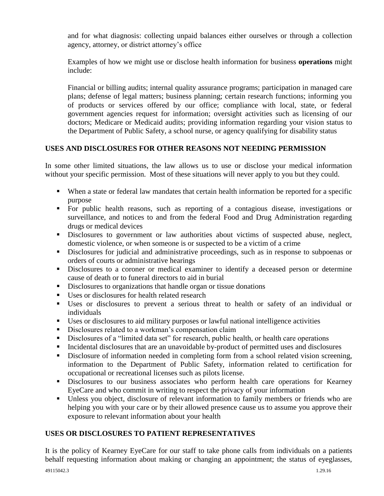and for what diagnosis: collecting unpaid balances either ourselves or through a collection agency, attorney, or district attorney's office

Examples of how we might use or disclose health information for business **operations** might include:

Financial or billing audits; internal quality assurance programs; participation in managed care plans; defense of legal matters; business planning; certain research functions; informing you of products or services offered by our office; compliance with local, state, or federal government agencies request for information; oversight activities such as licensing of our doctors; Medicare or Medicaid audits; providing information regarding your vision status to the Department of Public Safety, a school nurse, or agency qualifying for disability status

# **USES AND DISCLOSURES FOR OTHER REASONS NOT NEEDING PERMISSION**

In some other limited situations, the law allows us to use or disclose your medical information without your specific permission. Most of these situations will never apply to you but they could.

- When a state or federal law mandates that certain health information be reported for a specific purpose
- For public health reasons, such as reporting of a contagious disease, investigations or surveillance, and notices to and from the federal Food and Drug Administration regarding drugs or medical devices
- **Disclosures to government or law authorities about victims of suspected abuse, neglect,** domestic violence, or when someone is or suspected to be a victim of a crime
- Disclosures for judicial and administrative proceedings, such as in response to subpoenas or orders of courts or administrative hearings
- Disclosures to a coroner or medical examiner to identify a deceased person or determine cause of death or to funeral directors to aid in burial
- Disclosures to organizations that handle organ or tissue donations
- Uses or disclosures for health related research
- Uses or disclosures to prevent a serious threat to health or safety of an individual or individuals
- Uses or disclosures to aid military purposes or lawful national intelligence activities
- Disclosures related to a workman's compensation claim
- Disclosures of a "limited data set" for research, public health, or health care operations
- Incidental disclosures that are an unavoidable by-product of permitted uses and disclosures
- Disclosure of information needed in completing form from a school related vision screening, information to the Department of Public Safety, information related to certification for occupational or recreational licenses such as pilots license.
- Disclosures to our business associates who perform health care operations for Kearney EyeCare and who commit in writing to respect the privacy of your information
- Unless you object, disclosure of relevant information to family members or friends who are helping you with your care or by their allowed presence cause us to assume you approve their exposure to relevant information about your health

#### **USES OR DISCLOSURES TO PATIENT REPRESENTATIVES**

It is the policy of Kearney EyeCare for our staff to take phone calls from individuals on a patients behalf requesting information about making or changing an appointment; the status of eyeglasses,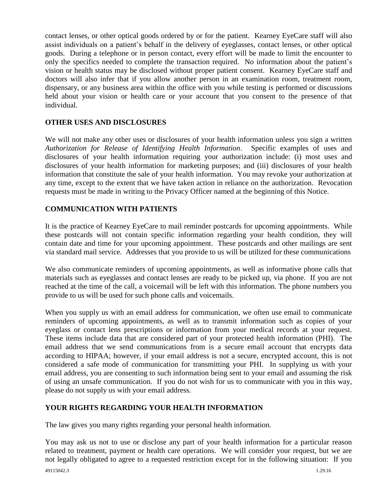contact lenses, or other optical goods ordered by or for the patient. Kearney EyeCare staff will also assist individuals on a patient's behalf in the delivery of eyeglasses, contact lenses, or other optical goods. During a telephone or in person contact, every effort will be made to limit the encounter to only the specifics needed to complete the transaction required. No information about the patient's vision or health status may be disclosed without proper patient consent. Kearney EyeCare staff and doctors will also infer that if you allow another person in an examination room, treatment room, dispensary, or any business area within the office with you while testing is performed or discussions held about your vision or health care or your account that you consent to the presence of that individual.

### **OTHER USES AND DISCLOSURES**

We will not make any other uses or disclosures of your health information unless you sign a written *Authorization for Release of Identifying Health Information*. Specific examples of uses and disclosures of your health information requiring your authorization include: (i) most uses and disclosures of your health information for marketing purposes; and (iii) disclosures of your health information that constitute the sale of your health information. You may revoke your authorization at any time, except to the extent that we have taken action in reliance on the authorization. Revocation requests must be made in writing to the Privacy Officer named at the beginning of this Notice.

### **COMMUNICATION WITH PATIENTS**

It is the practice of Kearney EyeCare to mail reminder postcards for upcoming appointments. While these postcards will not contain specific information regarding your health condition, they will contain date and time for your upcoming appointment. These postcards and other mailings are sent via standard mail service. Addresses that you provide to us will be utilized for these communications

We also communicate reminders of upcoming appointments, as well as informative phone calls that materials such as eyeglasses and contact lenses are ready to be picked up, via phone. If you are not reached at the time of the call, a voicemail will be left with this information. The phone numbers you provide to us will be used for such phone calls and voicemails.

When you supply us with an email address for communication, we often use email to communicate reminders of upcoming appointments, as well as to transmit information such as copies of your eyeglass or contact lens prescriptions or information from your medical records at your request. These items include data that are considered part of your protected health information (PHI). The email address that we send communications from is a secure email account that encrypts data according to HIPAA; however, if your email address is not a secure, encrypted account, this is not considered a safe mode of communication for transmitting your PHI. In supplying us with your email address, you are consenting to such information being sent to your email and assuming the risk of using an unsafe communication. If you do not wish for us to communicate with you in this way, please do not supply us with your email address.

#### **YOUR RIGHTS REGARDING YOUR HEALTH INFORMATION**

The law gives you many rights regarding your personal health information.

You may ask us not to use or disclose any part of your health information for a particular reason related to treatment, payment or health care operations. We will consider your request, but we are not legally obligated to agree to a requested restriction except for in the following situation: If you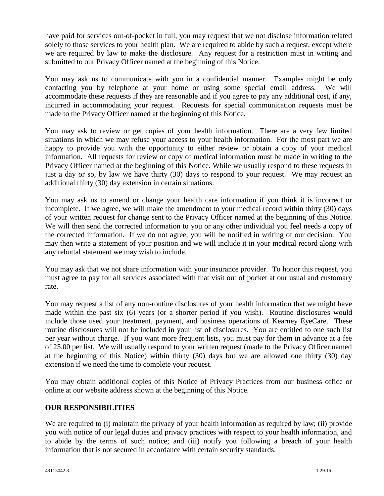have paid for services out-of-pocket in full, you may request that we not disclose information related solely to those services to your health plan. We are required to abide by such a request, except where we are required by law to make the disclosure. Any request for a restriction must in writing and submitted to our Privacy Officer named at the beginning of this Notice.

You may ask us to communicate with you in a confidential manner. Examples might be only contacting you by telephone at your home or using some special email address. We will accommodate these requests if they are reasonable and if you agree to pay any additional cost, if any, incurred in accommodating your request. Requests for special communication requests must be made to the Privacy Officer named at the beginning of this Notice.

You may ask to review or get copies of your health information. There are a very few limited situations in which we may refuse your access to your health information. For the most part we are happy to provide you with the opportunity to either review or obtain a copy of your medical information. All requests for review or copy of medical information must be made in writing to the Privacy Officer named at the beginning of this Notice. While we usually respond to these requests in just a day or so, by law we have thirty (30) days to respond to your request. We may request an additional thirty (30) day extension in certain situations.

You may ask us to amend or change your health care information if you think it is incorrect or incomplete. If we agree, we will make the amendment to your medical record within thirty (30) days of your written request for change sent to the Privacy Officer named at the beginning of this Notice. We will then send the corrected information to you or any other individual you feel needs a copy of the corrected information. If we do not agree, you will be notified in writing of our decision. You may then write a statement of your position and we will include it in your medical record along with any rebuttal statement we may wish to include.

You may ask that we not share information with your insurance provider. To honor this request, you must agree to pay for all services associated with that visit out of pocket at our usual and customary rate.

You may request a list of any non-routine disclosures of your health information that we might have made within the past six (6) years (or a shorter period if you wish). Routine disclosures would include those used your treatment, payment, and business operations of Kearney EyeCare. These routine disclosures will not be included in your list of disclosures. You are entitled to one such list per year without charge. If you want more frequent lists, you must pay for them in advance at a fee of 25.00 per list. We will usually respond to your written request (made to the Privacy Officer named at the beginning of this Notice) within thirty (30) days but we are allowed one thirty (30) day extension if we need the time to complete your request.

You may obtain additional copies of this Notice of Privacy Practices from our business office or online at our website address shown at the beginning of this Notice.

#### **OUR RESPONSIBILITIES**

We are required to (i) maintain the privacy of your health information as required by law; (ii) provide you with notice of our legal duties and privacy practices with respect to your health information, and to abide by the terms of such notice; and (iii) notify you following a breach of your health information that is not secured in accordance with certain security standards.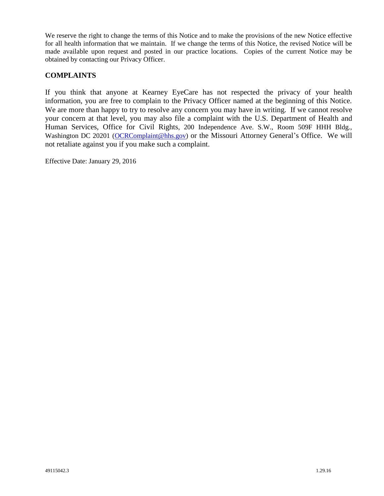We reserve the right to change the terms of this Notice and to make the provisions of the new Notice effective for all health information that we maintain. If we change the terms of this Notice, the revised Notice will be made available upon request and posted in our practice locations. Copies of the current Notice may be obtained by contacting our Privacy Officer.

### **COMPLAINTS**

If you think that anyone at Kearney EyeCare has not respected the privacy of your health information, you are free to complain to the Privacy Officer named at the beginning of this Notice. We are more than happy to try to resolve any concern you may have in writing. If we cannot resolve your concern at that level, you may also file a complaint with the U.S. Department of Health and Human Services, Office for Civil Rights, 200 Independence Ave. S.W., Room 509F HHH Bldg., Washington DC 20201 [\(OCRComplaint@hhs.gov\)](mailto:OCRComplaint@hhs.gov) or the Missouri Attorney General's Office. We will not retaliate against you if you make such a complaint.

Effective Date: January 29, 2016